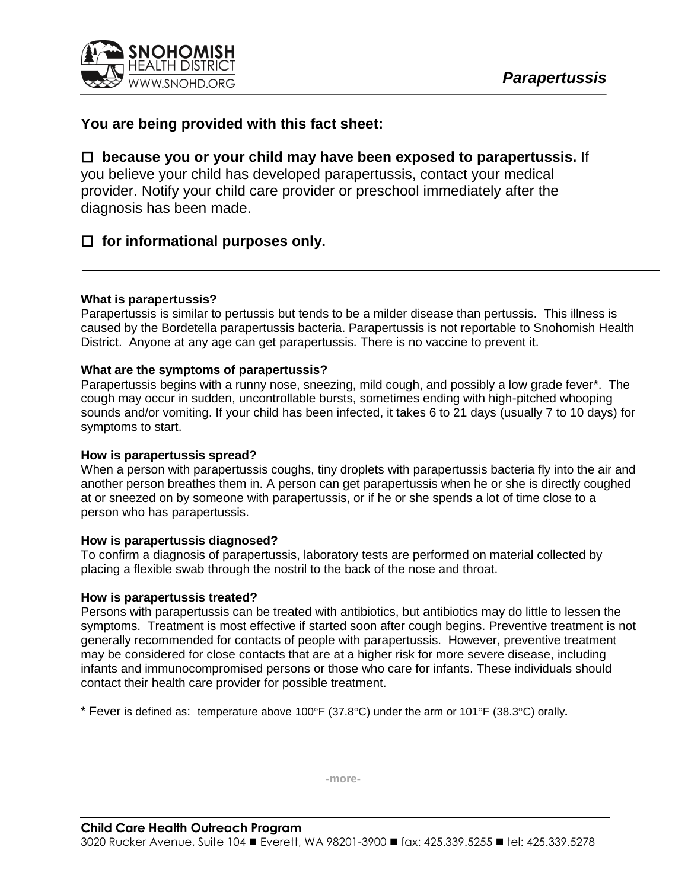

# **You are being provided with this fact sheet:**

## **because you or your child may have been exposed to parapertussis.** If

you believe your child has developed parapertussis, contact your medical provider. Notify your child care provider or preschool immediately after the diagnosis has been made.

## **for informational purposes only.**

## **What is parapertussis?**

Parapertussis is similar to pertussis but tends to be a milder disease than pertussis. This illness is caused by the Bordetella parapertussis bacteria. Parapertussis is not reportable to Snohomish Health District. Anyone at any age can get parapertussis. There is no vaccine to prevent it.

## **What are the symptoms of parapertussis?**

Parapertussis begins with a runny nose, sneezing, mild cough, and possibly a low grade fever\*. The cough may occur in sudden, uncontrollable bursts, sometimes ending with high-pitched whooping sounds and/or vomiting. If your child has been infected, it takes 6 to 21 days (usually 7 to 10 days) for symptoms to start.

### **How is parapertussis spread?**

When a person with parapertussis coughs, tiny droplets with parapertussis bacteria fly into the air and another person breathes them in. A person can get parapertussis when he or she is directly coughed at or sneezed on by someone with parapertussis, or if he or she spends a lot of time close to a person who has parapertussis.

## **How is parapertussis diagnosed?**

To confirm a diagnosis of parapertussis, laboratory tests are performed on material collected by placing a flexible swab through the nostril to the back of the nose and throat.

### **How is parapertussis treated?**

Persons with parapertussis can be treated with antibiotics, but antibiotics may do little to lessen the symptoms. Treatment is most effective if started soon after cough begins. Preventive treatment is not generally recommended for contacts of people with parapertussis. However, preventive treatment may be considered for close contacts that are at a higher risk for more severe disease, including infants and immunocompromised persons or those who care for infants. These individuals should contact their health care provider for possible treatment.

\* Fever is defined as: temperature above 100°F (37.8°C) under the arm or 101°F (38.3°C) orally.

**-more-**